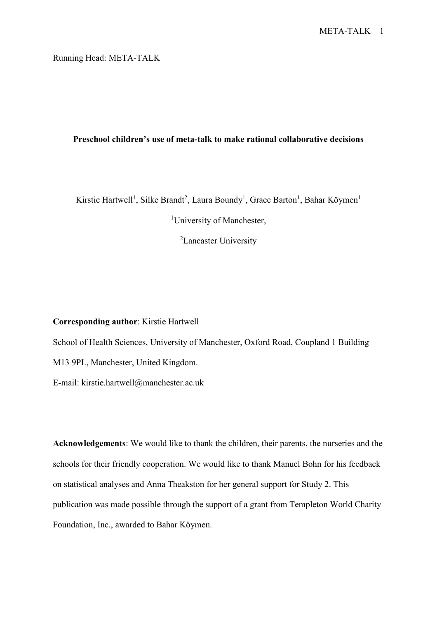Running Head: META-TALK

# **Preschool children's use of meta-talk to make rational collaborative decisions**

Kirstie Hartwell<sup>1</sup>, Silke Brandt<sup>2</sup>, Laura Boundy<sup>1</sup>, Grace Barton<sup>1</sup>, Bahar Köymen<sup>1</sup>

<sup>1</sup>University of Manchester,

<sup>2</sup>Lancaster University

# **Corresponding author**: Kirstie Hartwell

School of Health Sciences, University of Manchester, Oxford Road, Coupland 1 Building M13 9PL, Manchester, United Kingdom.

E-mail: kirstie.hartwell@manchester.ac.uk

**Acknowledgements**: We would like to thank the children, their parents, the nurseries and the schools for their friendly cooperation. We would like to thank Manuel Bohn for his feedback on statistical analyses and Anna Theakston for her general support for Study 2. This publication was made possible through the support of a grant from Templeton World Charity Foundation, Inc., awarded to Bahar Köymen.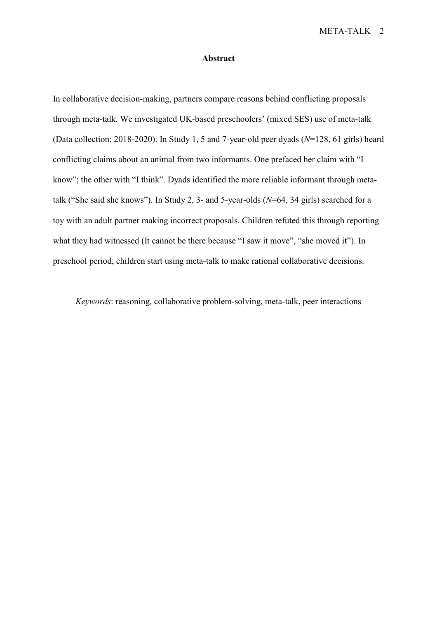### **Abstract**

In collaborative decision-making, partners compare reasons behind conflicting proposals through meta-talk. We investigated UK-based preschoolers' (mixed SES) use of meta-talk (Data collection: 2018-2020). In Study 1, 5 and 7-year-old peer dyads (*N*=128, 61 girls) heard conflicting claims about an animal from two informants. One prefaced her claim with "I know"; the other with "I think". Dyads identified the more reliable informant through metatalk ("She said she knows"). In Study 2, 3- and 5-year-olds (*N*=64, 34 girls) searched for a toy with an adult partner making incorrect proposals. Children refuted this through reporting what they had witnessed (It cannot be there because "I saw it move", "she moved it"). In preschool period, children start using meta-talk to make rational collaborative decisions.

*Keywords*: reasoning, collaborative problem-solving, meta-talk, peer interactions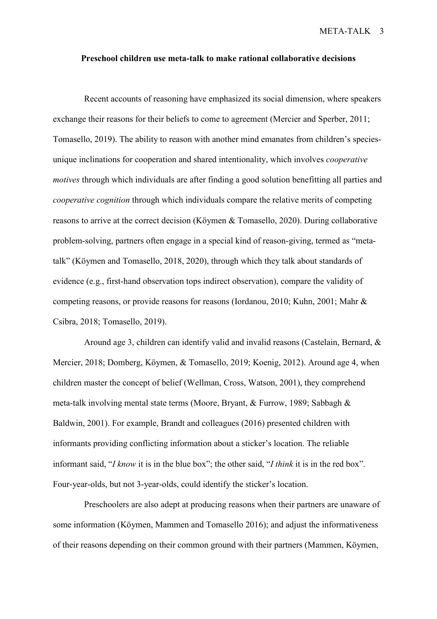#### **Preschool children use meta-talk to make rational collaborative decisions**

Recent accounts of reasoning have emphasized its social dimension, where speakers exchange their reasons for their beliefs to come to agreement (Mercier and Sperber, 2011; Tomasello, 2019). The ability to reason with another mind emanates from children's speciesunique inclinations for cooperation and shared intentionality, which involves *cooperative motives* through which individuals are after finding a good solution benefitting all parties and *cooperative cognition* through which individuals compare the relative merits of competing reasons to arrive at the correct decision (Köymen & Tomasello, 2020). During collaborative problem-solving, partners often engage in a special kind of reason-giving, termed as "metatalk" (Köymen and Tomasello, 2018, 2020), through which they talk about standards of evidence (e.g., first-hand observation tops indirect observation), compare the validity of competing reasons, or provide reasons for reasons (Iordanou, 2010; Kuhn, 2001; Mahr & Csibra, 2018; Tomasello, 2019).

Around age 3, children can identify valid and invalid reasons (Castelain, Bernard, & Mercier, 2018; Domberg, Köymen, & Tomasello, 2019; Koenig, 2012). Around age 4, when children master the concept of belief (Wellman, Cross, Watson, 2001), they comprehend meta-talk involving mental state terms (Moore, Bryant, & Furrow, 1989; Sabbagh & Baldwin, 2001). For example, Brandt and colleagues (2016) presented children with informants providing conflicting information about a sticker's location. The reliable informant said, "*I know* it is in the blue box"; the other said, "*I think* it is in the red box". Four-year-olds, but not 3-year-olds, could identify the sticker's location.

Preschoolers are also adept at producing reasons when their partners are unaware of some information (Köymen, Mammen and Tomasello 2016); and adjust the informativeness of their reasons depending on their common ground with their partners (Mammen, Köymen,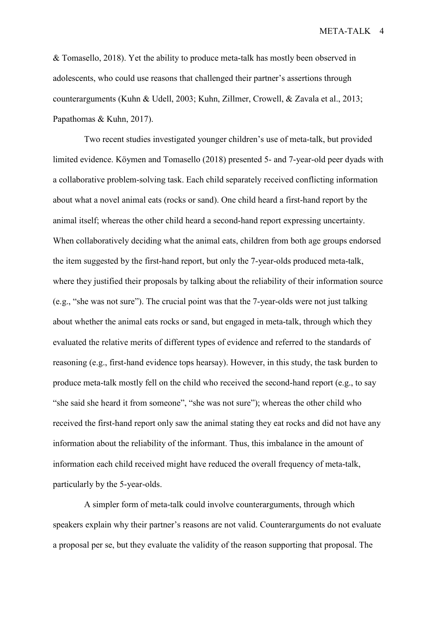& Tomasello, 2018). Yet the ability to produce meta-talk has mostly been observed in adolescents, who could use reasons that challenged their partner's assertions through counterarguments (Kuhn & Udell, 2003; Kuhn, Zillmer, Crowell, & Zavala et al., 2013; Papathomas & Kuhn, 2017).

Two recent studies investigated younger children's use of meta-talk, but provided limited evidence. Köymen and Tomasello (2018) presented 5- and 7-year-old peer dyads with a collaborative problem-solving task. Each child separately received conflicting information about what a novel animal eats (rocks or sand). One child heard a first-hand report by the animal itself; whereas the other child heard a second-hand report expressing uncertainty. When collaboratively deciding what the animal eats, children from both age groups endorsed the item suggested by the first-hand report, but only the 7-year-olds produced meta-talk, where they justified their proposals by talking about the reliability of their information source (e.g., "she was not sure"). The crucial point was that the 7-year-olds were not just talking about whether the animal eats rocks or sand, but engaged in meta-talk, through which they evaluated the relative merits of different types of evidence and referred to the standards of reasoning (e.g., first-hand evidence tops hearsay). However, in this study, the task burden to produce meta-talk mostly fell on the child who received the second-hand report (e.g., to say "she said she heard it from someone", "she was not sure"); whereas the other child who received the first-hand report only saw the animal stating they eat rocks and did not have any information about the reliability of the informant. Thus, this imbalance in the amount of information each child received might have reduced the overall frequency of meta-talk, particularly by the 5-year-olds.

A simpler form of meta-talk could involve counterarguments, through which speakers explain why their partner's reasons are not valid. Counterarguments do not evaluate a proposal per se, but they evaluate the validity of the reason supporting that proposal. The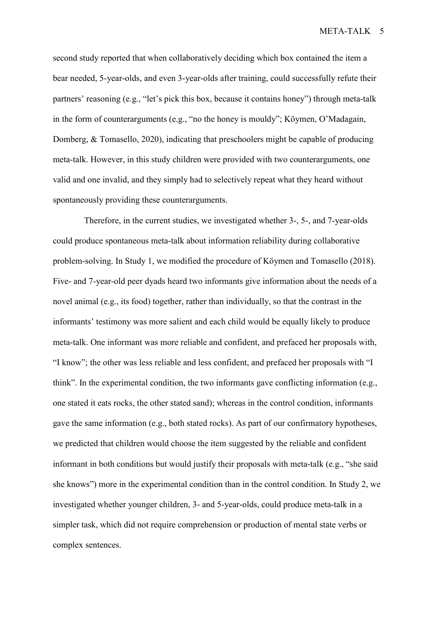second study reported that when collaboratively deciding which box contained the item a bear needed, 5-year-olds, and even 3-year-olds after training, could successfully refute their partners' reasoning (e.g., "let's pick this box, because it contains honey") through meta-talk in the form of counterarguments (e.g., "no the honey is mouldy"; Köymen, O'Madagain, Domberg, & Tomasello, 2020), indicating that preschoolers might be capable of producing meta-talk. However, in this study children were provided with two counterarguments, one valid and one invalid, and they simply had to selectively repeat what they heard without spontaneously providing these counterarguments.

Therefore, in the current studies, we investigated whether 3-, 5-, and 7-year-olds could produce spontaneous meta-talk about information reliability during collaborative problem-solving. In Study 1, we modified the procedure of Köymen and Tomasello (2018). Five- and 7-year-old peer dyads heard two informants give information about the needs of a novel animal (e.g., its food) together, rather than individually, so that the contrast in the informants' testimony was more salient and each child would be equally likely to produce meta-talk. One informant was more reliable and confident, and prefaced her proposals with, "I know"; the other was less reliable and less confident, and prefaced her proposals with "I think". In the experimental condition, the two informants gave conflicting information (e.g., one stated it eats rocks, the other stated sand); whereas in the control condition, informants gave the same information (e.g., both stated rocks). As part of our confirmatory hypotheses, we predicted that children would choose the item suggested by the reliable and confident informant in both conditions but would justify their proposals with meta-talk (e.g., "she said she knows") more in the experimental condition than in the control condition. In Study 2, we investigated whether younger children, 3- and 5-year-olds, could produce meta-talk in a simpler task, which did not require comprehension or production of mental state verbs or complex sentences.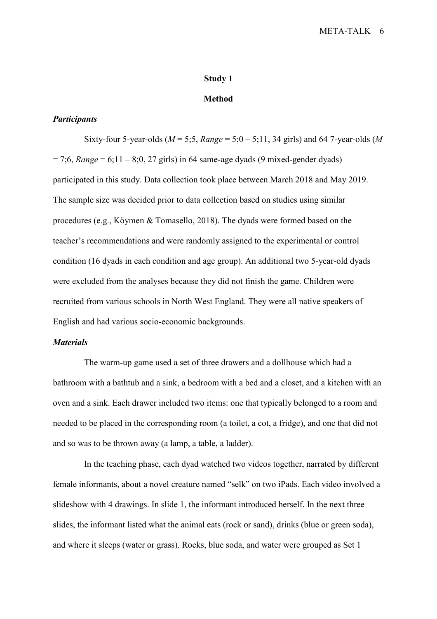#### **Study 1**

### **Method**

# *Participants*

Sixty-four 5-year-olds (*M* = 5;5, *Range* = 5;0 – 5;11, 34 girls) and 64 7-year-olds (*M*   $= 7;6$ , *Range*  $= 6;11 - 8;0, 27$  girls) in 64 same-age dyads (9 mixed-gender dyads) participated in this study. Data collection took place between March 2018 and May 2019. The sample size was decided prior to data collection based on studies using similar procedures (e.g., Köymen & Tomasello, 2018). The dyads were formed based on the teacher's recommendations and were randomly assigned to the experimental or control condition (16 dyads in each condition and age group). An additional two 5-year-old dyads were excluded from the analyses because they did not finish the game. Children were recruited from various schools in North West England. They were all native speakers of English and had various socio-economic backgrounds.

# *Materials*

The warm-up game used a set of three drawers and a dollhouse which had a bathroom with a bathtub and a sink, a bedroom with a bed and a closet, and a kitchen with an oven and a sink. Each drawer included two items: one that typically belonged to a room and needed to be placed in the corresponding room (a toilet, a cot, a fridge), and one that did not and so was to be thrown away (a lamp, a table, a ladder).

In the teaching phase, each dyad watched two videos together, narrated by different female informants, about a novel creature named "selk" on two iPads. Each video involved a slideshow with 4 drawings. In slide 1, the informant introduced herself. In the next three slides, the informant listed what the animal eats (rock or sand), drinks (blue or green soda), and where it sleeps (water or grass). Rocks, blue soda, and water were grouped as Set 1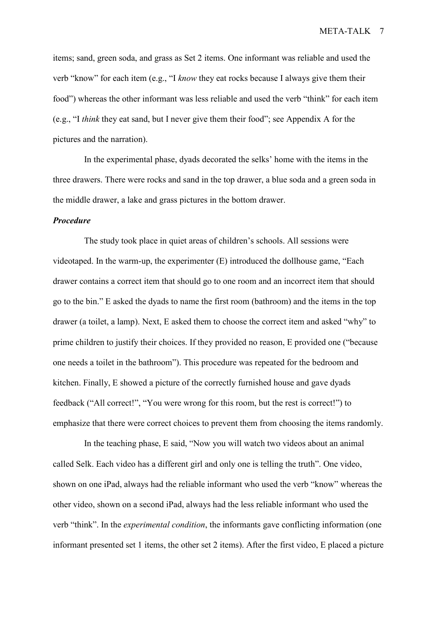items; sand, green soda, and grass as Set 2 items. One informant was reliable and used the verb "know" for each item (e.g., "I *know* they eat rocks because I always give them their food") whereas the other informant was less reliable and used the verb "think" for each item (e.g., "I *think* they eat sand, but I never give them their food"; see Appendix A for the pictures and the narration).

In the experimental phase, dyads decorated the selks' home with the items in the three drawers. There were rocks and sand in the top drawer, a blue soda and a green soda in the middle drawer, a lake and grass pictures in the bottom drawer.

## *Procedure*

The study took place in quiet areas of children's schools. All sessions were videotaped. In the warm-up, the experimenter (E) introduced the dollhouse game, "Each drawer contains a correct item that should go to one room and an incorrect item that should go to the bin." E asked the dyads to name the first room (bathroom) and the items in the top drawer (a toilet, a lamp). Next, E asked them to choose the correct item and asked "why" to prime children to justify their choices. If they provided no reason, E provided one ("because one needs a toilet in the bathroom"). This procedure was repeated for the bedroom and kitchen. Finally, E showed a picture of the correctly furnished house and gave dyads feedback ("All correct!", "You were wrong for this room, but the rest is correct!") to emphasize that there were correct choices to prevent them from choosing the items randomly.

In the teaching phase, E said, "Now you will watch two videos about an animal called Selk. Each video has a different girl and only one is telling the truth". One video, shown on one iPad, always had the reliable informant who used the verb "know" whereas the other video, shown on a second iPad, always had the less reliable informant who used the verb "think". In the *experimental condition*, the informants gave conflicting information (one informant presented set 1 items, the other set 2 items). After the first video, E placed a picture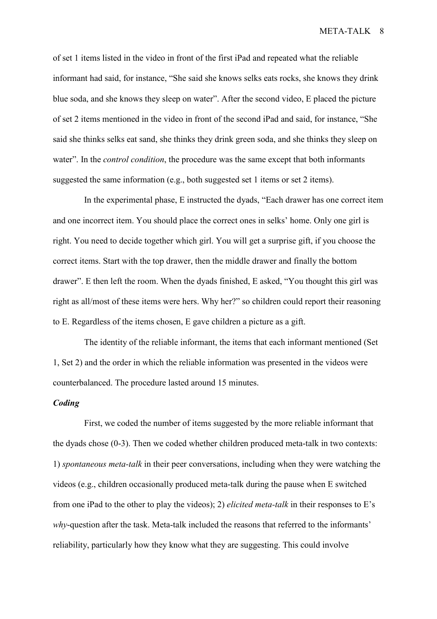of set 1 items listed in the video in front of the first iPad and repeated what the reliable informant had said, for instance, "She said she knows selks eats rocks, she knows they drink blue soda, and she knows they sleep on water". After the second video, E placed the picture of set 2 items mentioned in the video in front of the second iPad and said, for instance, "She said she thinks selks eat sand, she thinks they drink green soda, and she thinks they sleep on water". In the *control condition*, the procedure was the same except that both informants suggested the same information (e.g., both suggested set 1 items or set 2 items).

In the experimental phase, E instructed the dyads, "Each drawer has one correct item and one incorrect item. You should place the correct ones in selks' home. Only one girl is right. You need to decide together which girl. You will get a surprise gift, if you choose the correct items. Start with the top drawer, then the middle drawer and finally the bottom drawer". E then left the room. When the dyads finished, E asked, "You thought this girl was right as all/most of these items were hers. Why her?" so children could report their reasoning to E. Regardless of the items chosen, E gave children a picture as a gift.

The identity of the reliable informant, the items that each informant mentioned (Set 1, Set 2) and the order in which the reliable information was presented in the videos were counterbalanced. The procedure lasted around 15 minutes.

# *Coding*

First, we coded the number of items suggested by the more reliable informant that the dyads chose (0-3). Then we coded whether children produced meta-talk in two contexts: 1) *spontaneous meta-talk* in their peer conversations, including when they were watching the videos (e.g., children occasionally produced meta-talk during the pause when E switched from one iPad to the other to play the videos); 2) *elicited meta-talk* in their responses to E's *why*-question after the task. Meta-talk included the reasons that referred to the informants' reliability, particularly how they know what they are suggesting. This could involve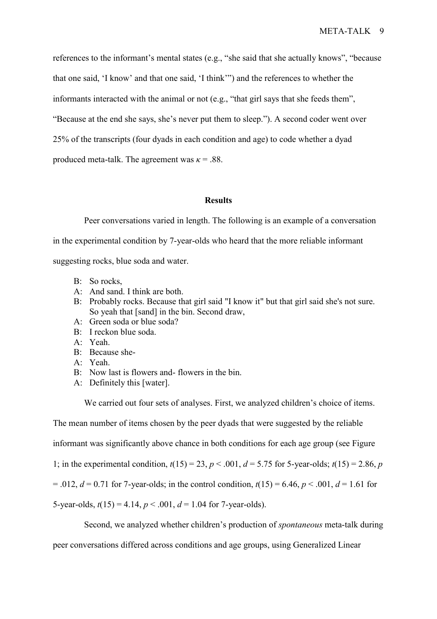references to the informant's mental states (e.g., "she said that she actually knows", "because that one said, 'I know' and that one said, 'I think'") and the references to whether the informants interacted with the animal or not (e.g., "that girl says that she feeds them", "Because at the end she says, she's never put them to sleep."). A second coder went over 25% of the transcripts (four dyads in each condition and age) to code whether a dyad produced meta-talk. The agreement was  $\kappa = .88$ .

#### **Results**

Peer conversations varied in length. The following is an example of a conversation

in the experimental condition by 7-year-olds who heard that the more reliable informant

suggesting rocks, blue soda and water.

- B: So rocks.
- A: And sand. I think are both.
- B: Probably rocks. Because that girl said "I know it" but that girl said she's not sure. So yeah that [sand] in the bin. Second draw,
- A: Green soda or blue soda?
- B: I reckon blue soda.
- A: Yeah.
- B: Because she-
- A: Yeah.
- B: Now last is flowers and- flowers in the bin.
- A: Definitely this [water].

We carried out four sets of analyses. First, we analyzed children's choice of items.

The mean number of items chosen by the peer dyads that were suggested by the reliable

informant was significantly above chance in both conditions for each age group (see Figure

1; in the experimental condition,  $t(15) = 23$ ,  $p < .001$ ,  $d = 5.75$  for 5-year-olds;  $t(15) = 2.86$ , *p* 

 $= .012, d = 0.71$  for 7-year-olds; in the control condition,  $t(15) = 6.46, p < .001, d = 1.61$  for

5-year-olds,  $t(15) = 4.14$ ,  $p < .001$ ,  $d = 1.04$  for 7-year-olds).

Second, we analyzed whether children's production of *spontaneous* meta-talk during

peer conversations differed across conditions and age groups, using Generalized Linear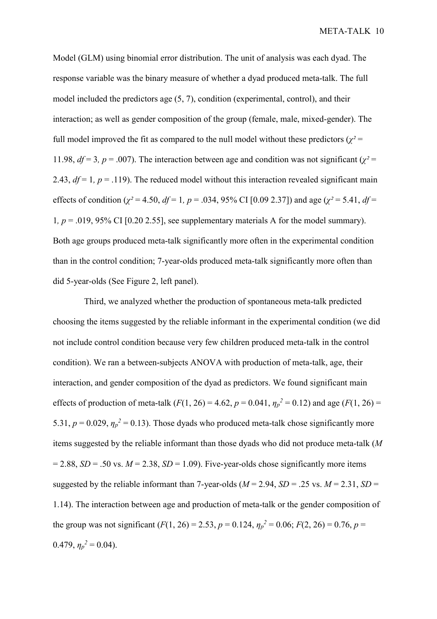Model (GLM) using binomial error distribution. The unit of analysis was each dyad. The response variable was the binary measure of whether a dyad produced meta-talk. The full model included the predictors age (5, 7), condition (experimental, control), and their interaction; as well as gender composition of the group (female, male, mixed-gender). The full model improved the fit as compared to the null model without these predictors ( $\chi^2$  = 11.98,  $df = 3$ ,  $p = .007$ ). The interaction between age and condition was not significant ( $\chi^2 =$ 2.43,  $df = 1$ ,  $p = .119$ ). The reduced model without this interaction revealed significant main effects of condition ( $\chi^2$  = 4.50, *df* = 1, *p* = .034, 95% CI [0.09 2.37]) and age ( $\chi^2$  = 5.41, *df* = 1,  $p = .019, 95\%$  CI [0.20 2.55], see supplementary materials A for the model summary). Both age groups produced meta-talk significantly more often in the experimental condition than in the control condition; 7-year-olds produced meta-talk significantly more often than did 5-year-olds (See Figure 2, left panel).

Third, we analyzed whether the production of spontaneous meta-talk predicted choosing the items suggested by the reliable informant in the experimental condition (we did not include control condition because very few children produced meta-talk in the control condition). We ran a between-subjects ANOVA with production of meta-talk, age, their interaction, and gender composition of the dyad as predictors. We found significant main effects of production of meta-talk ( $F(1, 26) = 4.62$ ,  $p = 0.041$ ,  $\eta_p^2 = 0.12$ ) and age ( $F(1, 26) =$ 5.31,  $p = 0.029$ ,  $\eta_p^2 = 0.13$ ). Those dyads who produced meta-talk chose significantly more items suggested by the reliable informant than those dyads who did not produce meta-talk (*M*  $= 2.88$ , *SD* = .50 vs. *M* = 2.38, *SD* = 1.09). Five-year-olds chose significantly more items suggested by the reliable informant than 7-year-olds ( $M = 2.94$ ,  $SD = .25$  vs.  $M = 2.31$ ,  $SD =$ 1.14). The interaction between age and production of meta-talk or the gender composition of the group was not significant  $(F(1, 26) = 2.53, p = 0.124, \eta_p^2 = 0.06; F(2, 26) = 0.76, p = 0.76$ 0.479,  $\eta_p^2 = 0.04$ ).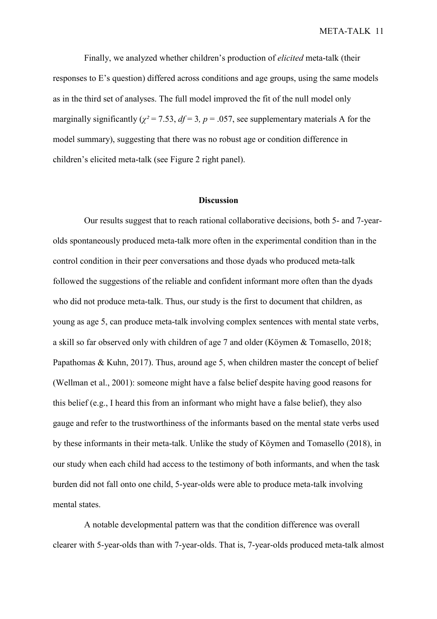Finally, we analyzed whether children's production of *elicited* meta-talk (their responses to E's question) differed across conditions and age groups, using the same models as in the third set of analyses. The full model improved the fit of the null model only marginally significantly ( $\chi^2$  = 7.53,  $df$  = 3, p = .057, see supplementary materials A for the model summary), suggesting that there was no robust age or condition difference in children's elicited meta-talk (see Figure 2 right panel).

### **Discussion**

Our results suggest that to reach rational collaborative decisions, both 5- and 7-yearolds spontaneously produced meta-talk more often in the experimental condition than in the control condition in their peer conversations and those dyads who produced meta-talk followed the suggestions of the reliable and confident informant more often than the dyads who did not produce meta-talk. Thus, our study is the first to document that children, as young as age 5, can produce meta-talk involving complex sentences with mental state verbs, a skill so far observed only with children of age 7 and older (Köymen & Tomasello, 2018; Papathomas & Kuhn, 2017). Thus, around age 5, when children master the concept of belief (Wellman et al., 2001): someone might have a false belief despite having good reasons for this belief (e.g., I heard this from an informant who might have a false belief), they also gauge and refer to the trustworthiness of the informants based on the mental state verbs used by these informants in their meta-talk. Unlike the study of Köymen and Tomasello (2018), in our study when each child had access to the testimony of both informants, and when the task burden did not fall onto one child, 5-year-olds were able to produce meta-talk involving mental states.

A notable developmental pattern was that the condition difference was overall clearer with 5-year-olds than with 7-year-olds. That is, 7-year-olds produced meta-talk almost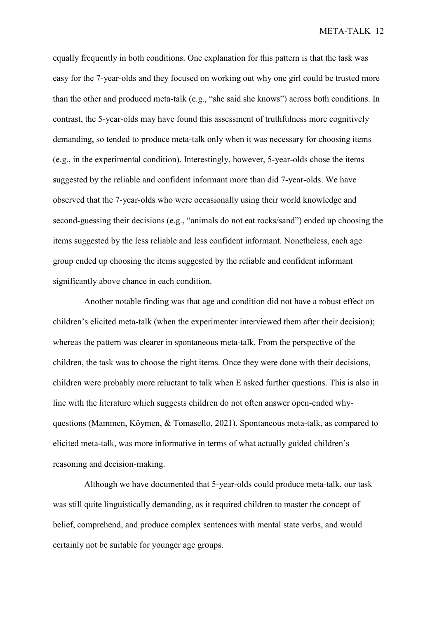equally frequently in both conditions. One explanation for this pattern is that the task was easy for the 7-year-olds and they focused on working out why one girl could be trusted more than the other and produced meta-talk (e.g., "she said she knows") across both conditions. In contrast, the 5-year-olds may have found this assessment of truthfulness more cognitively demanding, so tended to produce meta-talk only when it was necessary for choosing items (e.g., in the experimental condition). Interestingly, however, 5-year-olds chose the items suggested by the reliable and confident informant more than did 7-year-olds. We have observed that the 7-year-olds who were occasionally using their world knowledge and second-guessing their decisions (e.g., "animals do not eat rocks/sand") ended up choosing the items suggested by the less reliable and less confident informant. Nonetheless, each age group ended up choosing the items suggested by the reliable and confident informant significantly above chance in each condition.

Another notable finding was that age and condition did not have a robust effect on children's elicited meta-talk (when the experimenter interviewed them after their decision); whereas the pattern was clearer in spontaneous meta-talk. From the perspective of the children, the task was to choose the right items. Once they were done with their decisions, children were probably more reluctant to talk when E asked further questions. This is also in line with the literature which suggests children do not often answer open-ended whyquestions (Mammen, Köymen, & Tomasello, 2021). Spontaneous meta-talk, as compared to elicited meta-talk, was more informative in terms of what actually guided children's reasoning and decision-making.

Although we have documented that 5-year-olds could produce meta-talk, our task was still quite linguistically demanding, as it required children to master the concept of belief, comprehend, and produce complex sentences with mental state verbs, and would certainly not be suitable for younger age groups.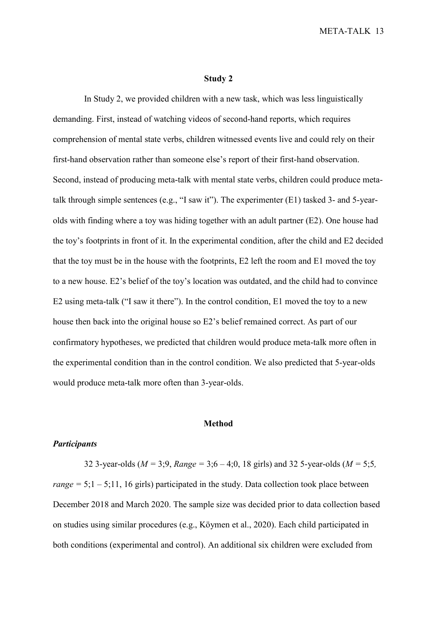### **Study 2**

In Study 2, we provided children with a new task, which was less linguistically demanding. First, instead of watching videos of second-hand reports, which requires comprehension of mental state verbs, children witnessed events live and could rely on their first-hand observation rather than someone else's report of their first-hand observation. Second, instead of producing meta-talk with mental state verbs, children could produce metatalk through simple sentences (e.g., "I saw it"). The experimenter (E1) tasked 3- and 5-yearolds with finding where a toy was hiding together with an adult partner (E2). One house had the toy's footprints in front of it. In the experimental condition, after the child and E2 decided that the toy must be in the house with the footprints, E2 left the room and E1 moved the toy to a new house. E2's belief of the toy's location was outdated, and the child had to convince E2 using meta-talk ("I saw it there"). In the control condition, E1 moved the toy to a new house then back into the original house so E2's belief remained correct. As part of our confirmatory hypotheses, we predicted that children would produce meta-talk more often in the experimental condition than in the control condition. We also predicted that 5-year-olds would produce meta-talk more often than 3-year-olds.

#### **Method**

## *Participants*

32 3-year-olds ( $M = 3$ ; 9,  $Range = 3$ ; 6 – 4; 0, 18 girls) and 32 5-year-olds ( $M = 5$ ; 5, *range* =  $5$ ; $1 - 5$ ; $11$ ,  $16$  girls) participated in the study. Data collection took place between December 2018 and March 2020. The sample size was decided prior to data collection based on studies using similar procedures (e.g., Köymen et al., 2020). Each child participated in both conditions (experimental and control). An additional six children were excluded from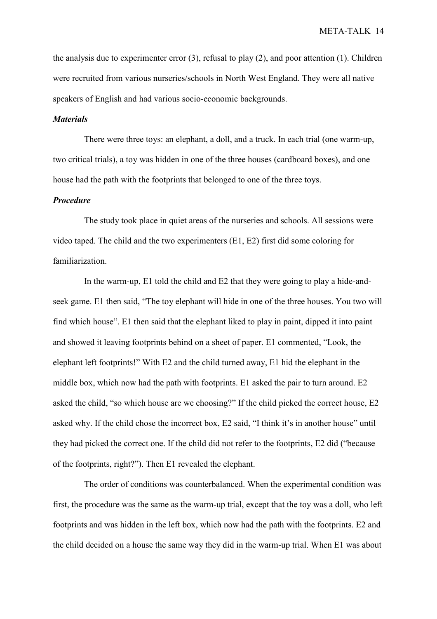the analysis due to experimenter error (3), refusal to play (2), and poor attention (1). Children were recruited from various nurseries/schools in North West England. They were all native speakers of English and had various socio-economic backgrounds.

# *Materials*

There were three toys: an elephant, a doll, and a truck. In each trial (one warm-up, two critical trials), a toy was hidden in one of the three houses (cardboard boxes), and one house had the path with the footprints that belonged to one of the three toys.

# *Procedure*

The study took place in quiet areas of the nurseries and schools. All sessions were video taped. The child and the two experimenters (E1, E2) first did some coloring for familiarization.

In the warm-up, E1 told the child and E2 that they were going to play a hide-andseek game. E1 then said, "The toy elephant will hide in one of the three houses. You two will find which house". E1 then said that the elephant liked to play in paint, dipped it into paint and showed it leaving footprints behind on a sheet of paper. E1 commented, "Look, the elephant left footprints!" With E2 and the child turned away, E1 hid the elephant in the middle box, which now had the path with footprints. E1 asked the pair to turn around. E2 asked the child, "so which house are we choosing?" If the child picked the correct house, E2 asked why. If the child chose the incorrect box, E2 said, "I think it's in another house" until they had picked the correct one. If the child did not refer to the footprints, E2 did ("because of the footprints, right?"). Then E1 revealed the elephant.

The order of conditions was counterbalanced. When the experimental condition was first, the procedure was the same as the warm-up trial, except that the toy was a doll, who left footprints and was hidden in the left box, which now had the path with the footprints. E2 and the child decided on a house the same way they did in the warm-up trial. When E1 was about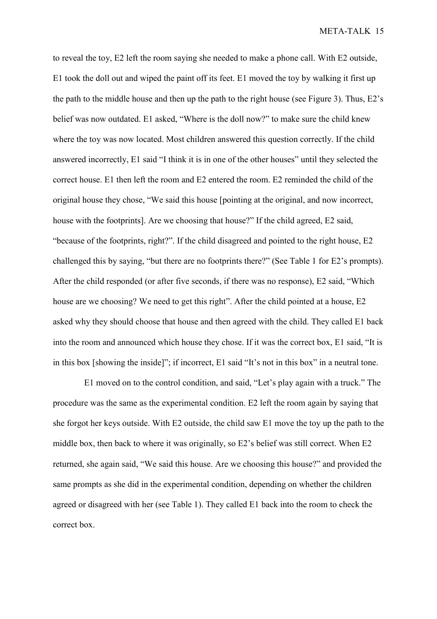to reveal the toy, E2 left the room saying she needed to make a phone call. With E2 outside, E1 took the doll out and wiped the paint off its feet. E1 moved the toy by walking it first up the path to the middle house and then up the path to the right house (see Figure 3). Thus, E2's belief was now outdated. E1 asked, "Where is the doll now?" to make sure the child knew where the toy was now located. Most children answered this question correctly. If the child answered incorrectly, E1 said "I think it is in one of the other houses" until they selected the correct house. E1 then left the room and E2 entered the room. E2 reminded the child of the original house they chose, "We said this house [pointing at the original, and now incorrect, house with the footprints]. Are we choosing that house?" If the child agreed, E2 said, "because of the footprints, right?". If the child disagreed and pointed to the right house, E2 challenged this by saying, "but there are no footprints there?" (See Table 1 for E2's prompts). After the child responded (or after five seconds, if there was no response), E2 said, "Which house are we choosing? We need to get this right". After the child pointed at a house, E2 asked why they should choose that house and then agreed with the child. They called E1 back into the room and announced which house they chose. If it was the correct box, E1 said, "It is in this box [showing the inside]"; if incorrect, E1 said "It's not in this box" in a neutral tone.

E1 moved on to the control condition, and said, "Let's play again with a truck." The procedure was the same as the experimental condition. E2 left the room again by saying that she forgot her keys outside. With E2 outside, the child saw E1 move the toy up the path to the middle box, then back to where it was originally, so E2's belief was still correct. When E2 returned, she again said, "We said this house. Are we choosing this house?" and provided the same prompts as she did in the experimental condition, depending on whether the children agreed or disagreed with her (see Table 1). They called E1 back into the room to check the correct box.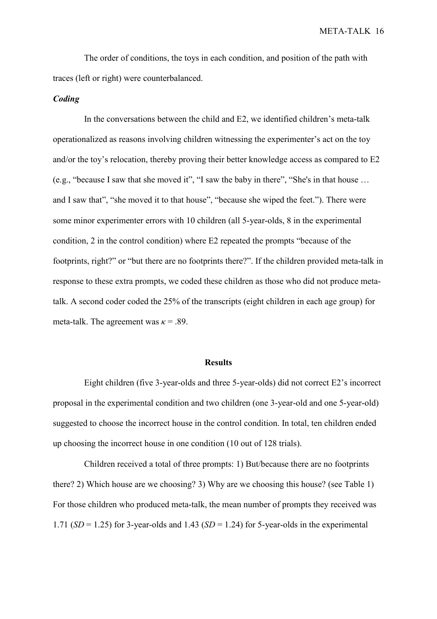The order of conditions, the toys in each condition, and position of the path with traces (left or right) were counterbalanced.

## *Coding*

In the conversations between the child and E2, we identified children's meta-talk operationalized as reasons involving children witnessing the experimenter's act on the toy and/or the toy's relocation, thereby proving their better knowledge access as compared to E2 (e.g., "because I saw that she moved it", "I saw the baby in there", "She's in that house … and I saw that", "she moved it to that house", "because she wiped the feet."). There were some minor experimenter errors with 10 children (all 5-year-olds, 8 in the experimental condition, 2 in the control condition) where E2 repeated the prompts "because of the footprints, right?" or "but there are no footprints there?". If the children provided meta-talk in response to these extra prompts, we coded these children as those who did not produce metatalk. A second coder coded the 25% of the transcripts (eight children in each age group) for meta-talk. The agreement was  $\kappa = .89$ .

#### **Results**

Eight children (five 3-year-olds and three 5-year-olds) did not correct E2's incorrect proposal in the experimental condition and two children (one 3-year-old and one 5-year-old) suggested to choose the incorrect house in the control condition. In total, ten children ended up choosing the incorrect house in one condition (10 out of 128 trials).

Children received a total of three prompts: 1) But/because there are no footprints there? 2) Which house are we choosing? 3) Why are we choosing this house? (see Table 1) For those children who produced meta-talk, the mean number of prompts they received was 1.71 ( $SD = 1.25$ ) for 3-year-olds and 1.43 ( $SD = 1.24$ ) for 5-year-olds in the experimental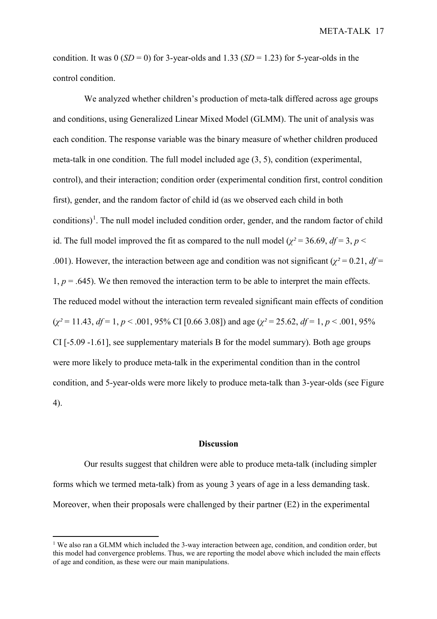condition. It was  $0 (SD = 0)$  for 3-year-olds and 1.33 ( $SD = 1.23$ ) for 5-year-olds in the control condition.

We analyzed whether children's production of meta-talk differed across age groups and conditions, using Generalized Linear Mixed Model (GLMM). The unit of analysis was each condition. The response variable was the binary measure of whether children produced meta-talk in one condition. The full model included age (3, 5), condition (experimental, control), and their interaction; condition order (experimental condition first, control condition first), gender, and the random factor of child id (as we observed each child in both conditions)<sup>[1](#page-16-0)</sup>. The null model included condition order, gender, and the random factor of child id. The full model improved the fit as compared to the null model ( $\chi^2$  = 36.69, *df* = 3, *p* < .001). However, the interaction between age and condition was not significant ( $\chi^2$  = 0.21, *df* = 1,  $p = .645$ ). We then removed the interaction term to be able to interpret the main effects. The reduced model without the interaction term revealed significant main effects of condition  $(\chi^2 = 11.43, df = 1, p < .001, 95\% \text{ CI} [0.66, 3.08])$  and age  $(\chi^2 = 25.62, df = 1, p < .001, 95\%$ CI [-5.09 -1.61], see supplementary materials B for the model summary). Both age groups were more likely to produce meta-talk in the experimental condition than in the control condition, and 5-year-olds were more likely to produce meta-talk than 3-year-olds (see Figure 4).

### **Discussion**

Our results suggest that children were able to produce meta-talk (including simpler forms which we termed meta-talk) from as young 3 years of age in a less demanding task. Moreover, when their proposals were challenged by their partner (E2) in the experimental

 $\overline{a}$ 

<span id="page-16-0"></span><sup>&</sup>lt;sup>1</sup> We also ran a GLMM which included the 3-way interaction between age, condition, and condition order, but this model had convergence problems. Thus, we are reporting the model above which included the main effects of age and condition, as these were our main manipulations.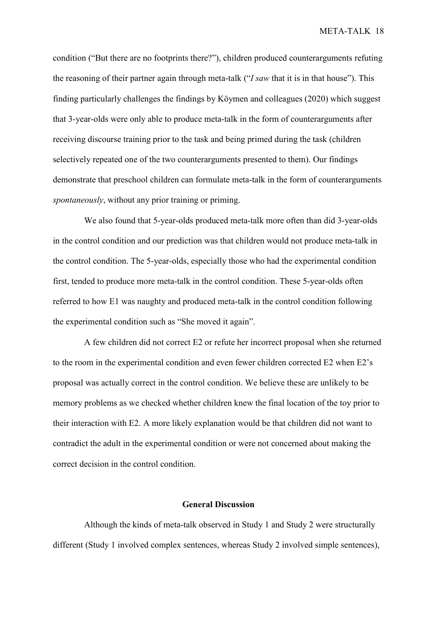condition ("But there are no footprints there?"), children produced counterarguments refuting the reasoning of their partner again through meta-talk ("*I saw* that it is in that house"). This finding particularly challenges the findings by Köymen and colleagues (2020) which suggest that 3-year-olds were only able to produce meta-talk in the form of counterarguments after receiving discourse training prior to the task and being primed during the task (children selectively repeated one of the two counterarguments presented to them). Our findings demonstrate that preschool children can formulate meta-talk in the form of counterarguments *spontaneously*, without any prior training or priming.

We also found that 5-year-olds produced meta-talk more often than did 3-year-olds in the control condition and our prediction was that children would not produce meta-talk in the control condition. The 5-year-olds, especially those who had the experimental condition first, tended to produce more meta-talk in the control condition. These 5-year-olds often referred to how E1 was naughty and produced meta-talk in the control condition following the experimental condition such as "She moved it again".

A few children did not correct E2 or refute her incorrect proposal when she returned to the room in the experimental condition and even fewer children corrected E2 when E2's proposal was actually correct in the control condition. We believe these are unlikely to be memory problems as we checked whether children knew the final location of the toy prior to their interaction with E2. A more likely explanation would be that children did not want to contradict the adult in the experimental condition or were not concerned about making the correct decision in the control condition.

# **General Discussion**

Although the kinds of meta-talk observed in Study 1 and Study 2 were structurally different (Study 1 involved complex sentences, whereas Study 2 involved simple sentences),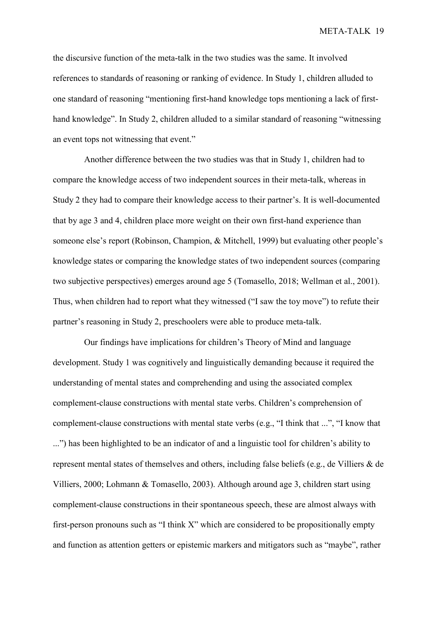the discursive function of the meta-talk in the two studies was the same. It involved references to standards of reasoning or ranking of evidence. In Study 1, children alluded to one standard of reasoning "mentioning first-hand knowledge tops mentioning a lack of firsthand knowledge". In Study 2, children alluded to a similar standard of reasoning "witnessing an event tops not witnessing that event."

Another difference between the two studies was that in Study 1, children had to compare the knowledge access of two independent sources in their meta-talk, whereas in Study 2 they had to compare their knowledge access to their partner's. It is well-documented that by age 3 and 4, children place more weight on their own first-hand experience than someone else's report (Robinson, Champion, & Mitchell, 1999) but evaluating other people's knowledge states or comparing the knowledge states of two independent sources (comparing two subjective perspectives) emerges around age 5 (Tomasello, 2018; Wellman et al., 2001). Thus, when children had to report what they witnessed ("I saw the toy move") to refute their partner's reasoning in Study 2, preschoolers were able to produce meta-talk.

Our findings have implications for children's Theory of Mind and language development. Study 1 was cognitively and linguistically demanding because it required the understanding of mental states and comprehending and using the associated complex complement-clause constructions with mental state verbs. Children's comprehension of complement-clause constructions with mental state verbs (e.g., "I think that ...", "I know that ...") has been highlighted to be an indicator of and a linguistic tool for children's ability to represent mental states of themselves and others, including false beliefs (e.g., de Villiers & de Villiers, 2000; Lohmann & Tomasello, 2003). Although around age 3, children start using complement-clause constructions in their spontaneous speech, these are almost always with first-person pronouns such as "I think X" which are considered to be propositionally empty and function as attention getters or epistemic markers and mitigators such as "maybe", rather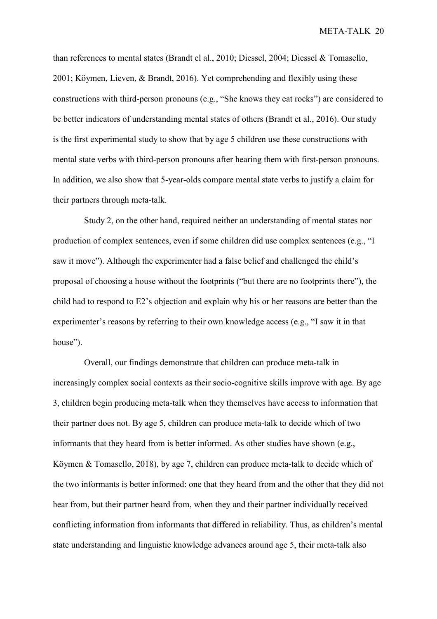than references to mental states (Brandt el al., 2010; Diessel, 2004; Diessel & Tomasello, 2001; Köymen, Lieven, & Brandt, 2016). Yet comprehending and flexibly using these constructions with third-person pronouns (e.g., "She knows they eat rocks") are considered to be better indicators of understanding mental states of others (Brandt et al., 2016). Our study is the first experimental study to show that by age 5 children use these constructions with mental state verbs with third-person pronouns after hearing them with first-person pronouns. In addition, we also show that 5-year-olds compare mental state verbs to justify a claim for their partners through meta-talk.

Study 2, on the other hand, required neither an understanding of mental states nor production of complex sentences, even if some children did use complex sentences (e.g., "I saw it move"). Although the experimenter had a false belief and challenged the child's proposal of choosing a house without the footprints ("but there are no footprints there"), the child had to respond to E2's objection and explain why his or her reasons are better than the experimenter's reasons by referring to their own knowledge access (e.g., "I saw it in that house").

Overall, our findings demonstrate that children can produce meta-talk in increasingly complex social contexts as their socio-cognitive skills improve with age. By age 3, children begin producing meta-talk when they themselves have access to information that their partner does not. By age 5, children can produce meta-talk to decide which of two informants that they heard from is better informed. As other studies have shown (e.g., Köymen & Tomasello, 2018), by age 7, children can produce meta-talk to decide which of the two informants is better informed: one that they heard from and the other that they did not hear from, but their partner heard from, when they and their partner individually received conflicting information from informants that differed in reliability. Thus, as children's mental state understanding and linguistic knowledge advances around age 5, their meta-talk also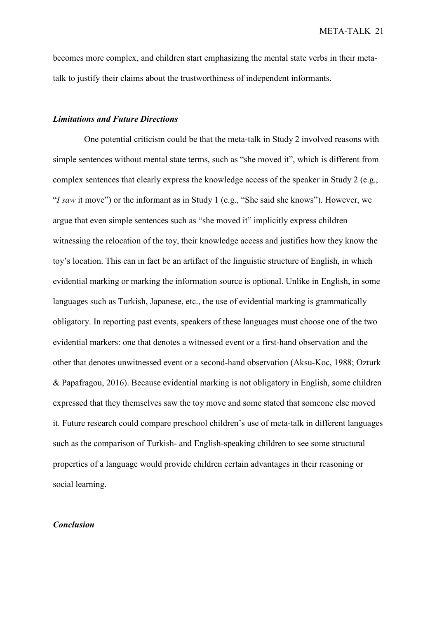becomes more complex, and children start emphasizing the mental state verbs in their metatalk to justify their claims about the trustworthiness of independent informants.

# *Limitations and Future Directions*

One potential criticism could be that the meta-talk in Study 2 involved reasons with simple sentences without mental state terms, such as "she moved it", which is different from complex sentences that clearly express the knowledge access of the speaker in Study 2 (e.g., "*I saw* it move") or the informant as in Study 1 (e.g., "She said she knows"). However, we argue that even simple sentences such as "she moved it" implicitly express children witnessing the relocation of the toy, their knowledge access and justifies how they know the toy's location. This can in fact be an artifact of the linguistic structure of English, in which evidential marking or marking the information source is optional. Unlike in English, in some languages such as Turkish, Japanese, etc., the use of evidential marking is grammatically obligatory. In reporting past events, speakers of these languages must choose one of the two evidential markers: one that denotes a witnessed event or a first-hand observation and the other that denotes unwitnessed event or a second-hand observation (Aksu-Koc, 1988; Ozturk & Papafragou, 2016). Because evidential marking is not obligatory in English, some children expressed that they themselves saw the toy move and some stated that someone else moved it. Future research could compare preschool children's use of meta-talk in different languages such as the comparison of Turkish- and English-speaking children to see some structural properties of a language would provide children certain advantages in their reasoning or social learning.

## *Conclusion*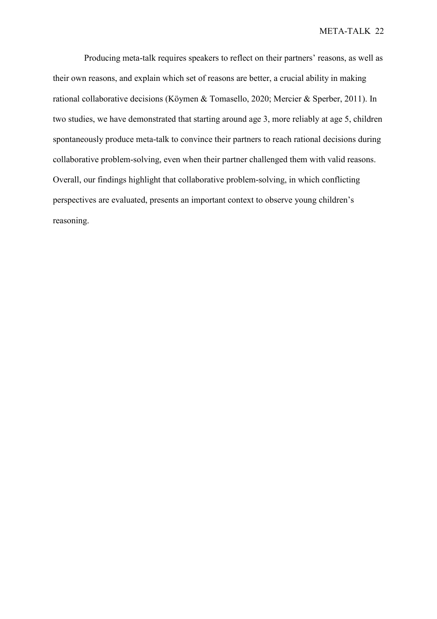Producing meta-talk requires speakers to reflect on their partners' reasons, as well as their own reasons, and explain which set of reasons are better, a crucial ability in making rational collaborative decisions (Köymen & Tomasello, 2020; Mercier & Sperber, 2011). In two studies, we have demonstrated that starting around age 3, more reliably at age 5, children spontaneously produce meta-talk to convince their partners to reach rational decisions during collaborative problem-solving, even when their partner challenged them with valid reasons. Overall, our findings highlight that collaborative problem-solving, in which conflicting perspectives are evaluated, presents an important context to observe young children's reasoning.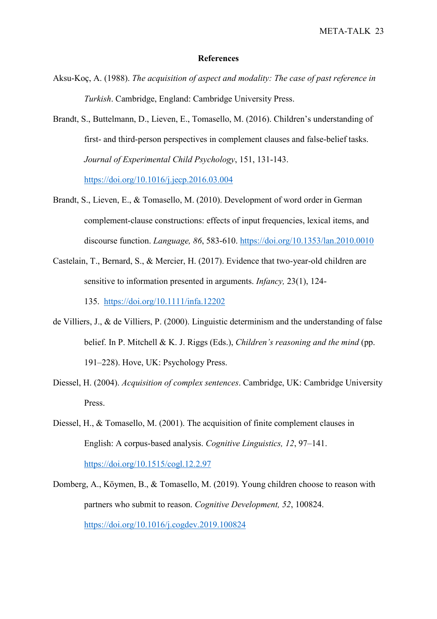#### **References**

- Aksu-Koç, A. (1988). *The acquisition of aspect and modality: The case of past reference in Turkish*. Cambridge, England: Cambridge University Press.
- Brandt, S., Buttelmann, D., Lieven, E., Tomasello, M. (2016). Children's understanding of first- and third-person perspectives in complement clauses and false-belief tasks. *Journal of Experimental Child Psychology*, 151, 131-143. [https://doi.org/10.1016/j.jecp.2016.03.004](https://psycnet.apa.org/doi/10.1016/j.jecp.2016.03.004)
- Brandt, S., Lieven, E., & Tomasello, M. (2010). Development of word order in German complement-clause constructions: effects of input frequencies, lexical items, and discourse function. *Language, 86*, 583-610.<https://doi.org/10.1353/lan.2010.0010>
- Castelain, T., Bernard, S., & Mercier, H. (2017). Evidence that two-year-old children are sensitive to information presented in arguments. *Infancy,* 23(1), 124- 135. [https://doi.org/10.1111/infa.12202](https://psycnet.apa.org/doi/10.1111/infa.12202)
- de Villiers, J., & de Villiers, P. (2000). Linguistic determinism and the understanding of false belief. In P. Mitchell & K. J. Riggs (Eds.), *Children's reasoning and the mind* (pp. 191–228). Hove, UK: Psychology Press.
- Diessel, H. (2004). *Acquisition of complex sentences*. Cambridge, UK: Cambridge University Press.
- Diessel, H., & Tomasello, M. (2001). The acquisition of finite complement clauses in English: A corpus-based analysis. *Cognitive Linguistics, 12*, 97–141. <https://doi.org/10.1515/cogl.12.2.97>
- Domberg, A., Köymen, B., & Tomasello, M. (2019). Young children choose to reason with partners who submit to reason. *Cognitive Development, 52*, 100824. <https://doi.org/10.1016/j.cogdev.2019.100824>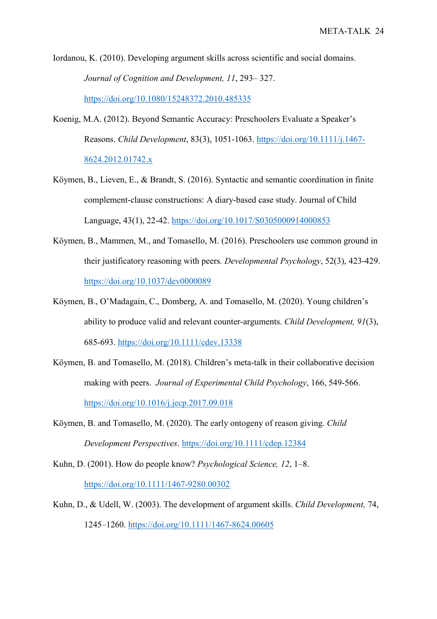Iordanou, K. (2010). Developing argument skills across scientific and social domains. *Journal of Cognition and Development, 11*, 293– 327. <https://doi.org/10.1080/15248372.2010.485335>

Koenig, M.A. (2012). Beyond Semantic Accuracy: Preschoolers Evaluate a Speaker's Reasons. *Child Development*, 83(3), 1051-1063. [https://doi.org/10.1111/j.1467-](https://psycnet.apa.org/doi/10.1111/j.1467-8624.2012.01742.x) [8624.2012.01742.x](https://psycnet.apa.org/doi/10.1111/j.1467-8624.2012.01742.x)

- Köymen, B., Lieven, E., & Brandt, S. (2016). Syntactic and semantic coordination in finite complement-clause constructions: A diary-based case study. Journal of Child Language, 43(1), 22-42.<https://doi.org/10.1017/S0305000914000853>
- Köymen, B., Mammen, M., and Tomasello, M. (2016). Preschoolers use common ground in their justificatory reasoning with peers*. Developmental Psychology*, 52(3), 423-429. [https://doi.org/10.1037/dev0000089](https://psycnet.apa.org/doi/10.1037/dev0000089)
- Köymen, B., O'Madagain, C., Domberg, A. and Tomasello, M. (2020). Young children's ability to produce valid and relevant counter-arguments. *Child Development, 91*(3), 685-693.<https://doi.org/10.1111/cdev.13338>
- Köymen, B. and Tomasello, M. (2018). Children's meta-talk in their collaborative decision making with peers. *Journal of Experimental Child Psychology*, 166, 549-566. [https://doi.org/10.1016/j.jecp.2017.09.018](https://psycnet.apa.org/doi/10.1016/j.jecp.2017.09.018)
- Köymen, B. and Tomasello, M. (2020). The early ontogeny of reason giving. *Child Development Perspectives*.<https://doi.org/10.1111/cdep.12384>
- Kuhn, D. (2001). How do people know? *Psychological Science, 12*, 1–8. <https://doi.org/10.1111/1467-9280.00302>
- Kuhn, D., & Udell, W. (2003). The development of argument skills. *Child Development,* 74, 1245–1260. [https://doi.org/10.1111/1467-8624.00605](https://psycnet.apa.org/doi/10.1111/1467-8624.00605)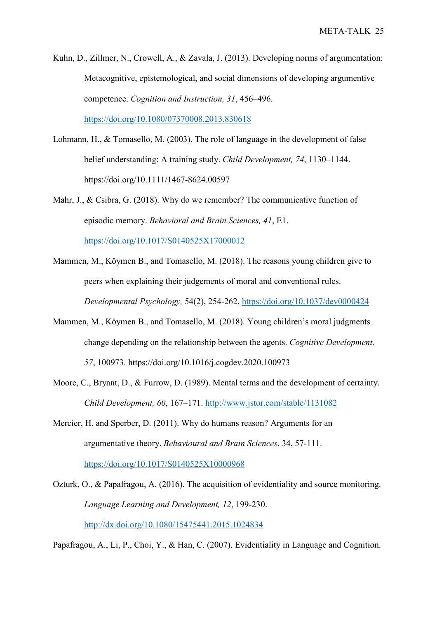Kuhn, D., Zillmer, N., Crowell, A., & Zavala, J. (2013). Developing norms of argumentation: Metacognitive, epistemological, and social dimensions of developing argumentive competence. *Cognition and Instruction, 31*, 456–496. <https://doi.org/10.1080/07370008.2013.830618>

- Lohmann, H., & Tomasello, M. (2003). The role of language in the development of false belief understanding: A training study. *Child Development, 74*, 1130–1144. https://doi.org/10.1111/1467-8624.00597
- Mahr, J., & Csibra, G. (2018). Why do we remember? The communicative function of episodic memory. *Behavioral and Brain Sciences, 41*, E1. <https://doi.org/10.1017/S0140525X17000012>
- Mammen, M., Köymen B., and Tomasello, M. (2018). The reasons young children give to peers when explaining their judgements of moral and conventional rules. *Developmental Psychology,* 54(2), 254-262.<https://doi.org/10.1037/dev0000424>
- Mammen, M., Köymen B., and Tomasello, M. (2018). Young children's moral judgments change depending on the relationship between the agents. *Cognitive Development, 57*, 100973. https://doi.org/10.1016/j.cogdev.2020.100973
- Moore, C., Bryant, D., & Furrow, D. (1989). Mental terms and the development of certainty. *Child Development, 60*, 167–171.<http://www.jstor.com/stable/1131082>
- Mercier, H. and Sperber, D. (2011). Why do humans reason? Arguments for an argumentative theory. *Behavioural and Brain Sciences*, 34, 57-111.

<https://doi.org/10.1017/S0140525X10000968>

Ozturk, O., & Papafragou, A. (2016). The acquisition of evidentiality and source monitoring. *Language Learning and Development, 12*, 199-230. <http://dx.doi.org/10.1080/15475441.2015.1024834>

Papafragou, A., Li, P., Choi, Y., & Han, C. (2007). Evidentiality in Language and Cognition.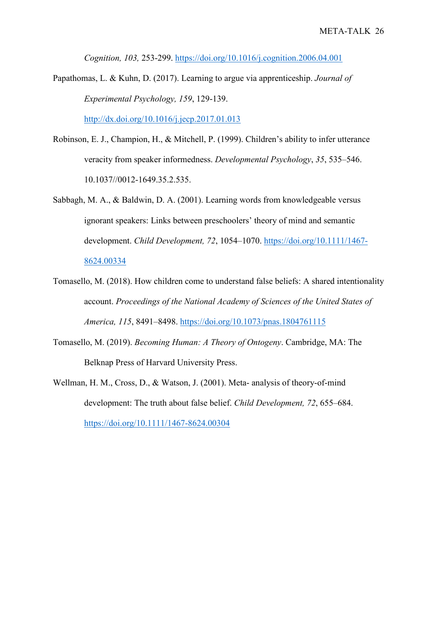*Cognition, 103,* 253-299.<https://doi.org/10.1016/j.cognition.2006.04.001>

- Papathomas, L. & Kuhn, D. (2017). Learning to argue via apprenticeship. *Journal of Experimental Psychology, 159*, 129-139. <http://dx.doi.org/10.1016/j.jecp.2017.01.013>
- Robinson, E. J., Champion, H., & Mitchell, P. (1999). Children's ability to infer utterance veracity from speaker informedness. *Developmental Psychology*, *35*, 535–546. 10.1037//0012-1649.35.2.535.
- Sabbagh, M. A., & Baldwin, D. A. (2001). Learning words from knowledgeable versus ignorant speakers: Links between preschoolers' theory of mind and semantic development. *Child Development, 72*, 1054–1070. [https://doi.org/10.1111/1467-](https://doi.org/10.1111/1467-8624.00334) [8624.00334](https://doi.org/10.1111/1467-8624.00334)
- Tomasello, M. (2018). How children come to understand false beliefs: A shared intentionality account. *Proceedings of the National Academy of Sciences of the United States of America, 115*, 8491–8498.<https://doi.org/10.1073/pnas.1804761115>
- Tomasello, M. (2019). *Becoming Human: A Theory of Ontogeny*. Cambridge, MA: The Belknap Press of Harvard University Press.
- Wellman, H. M., Cross, D., & Watson, J. (2001). Meta- analysis of theory-of-mind development: The truth about false belief. *Child Development, 72*, 655–684. <https://doi.org/10.1111/1467-8624.00304>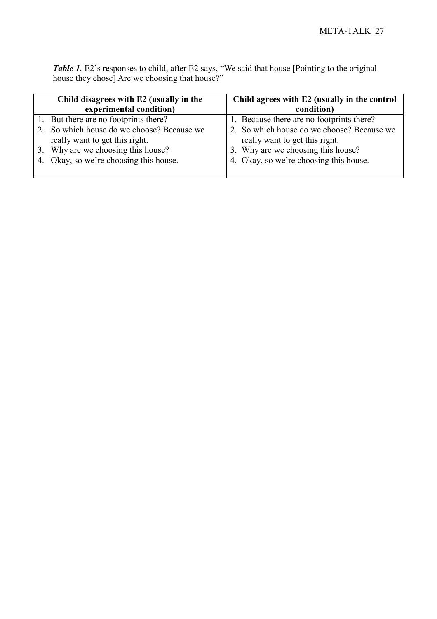*Table 1.* E2's responses to child, after E2 says, "We said that house [Pointing to the original house they chose] Are we choosing that house?"

| Child disagrees with E2 (usually in the    | Child agrees with E2 (usually in the control |
|--------------------------------------------|----------------------------------------------|
| experimental condition)                    | condition)                                   |
| 1. But there are no footprints there?      | 1. Because there are no footprints there?    |
| 2. So which house do we choose? Because we | 2. So which house do we choose? Because we   |
| really want to get this right.             | really want to get this right.               |
| 3. Why are we choosing this house?         | 3. Why are we choosing this house?           |
| 4. Okay, so we're choosing this house.     | 4. Okay, so we're choosing this house.       |
|                                            |                                              |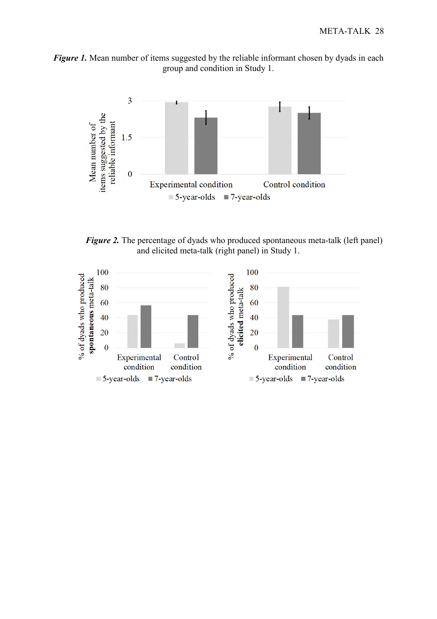



*Figure 2.* The percentage of dyads who produced spontaneous meta-talk (left panel) and elicited meta-talk (right panel) in Study 1.

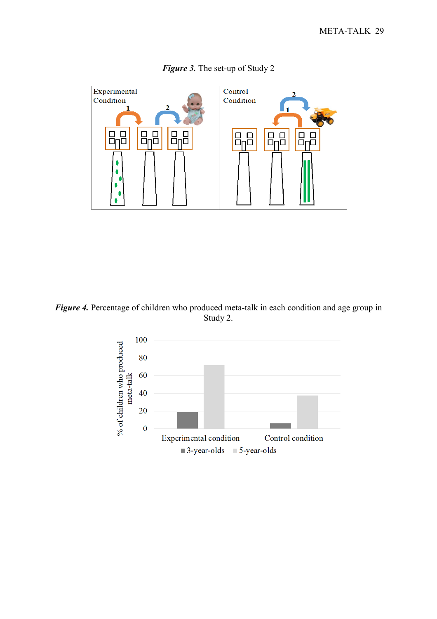

*Figure 3.* The set-up of Study 2

*Figure 4.* Percentage of children who produced meta-talk in each condition and age group in Study 2.